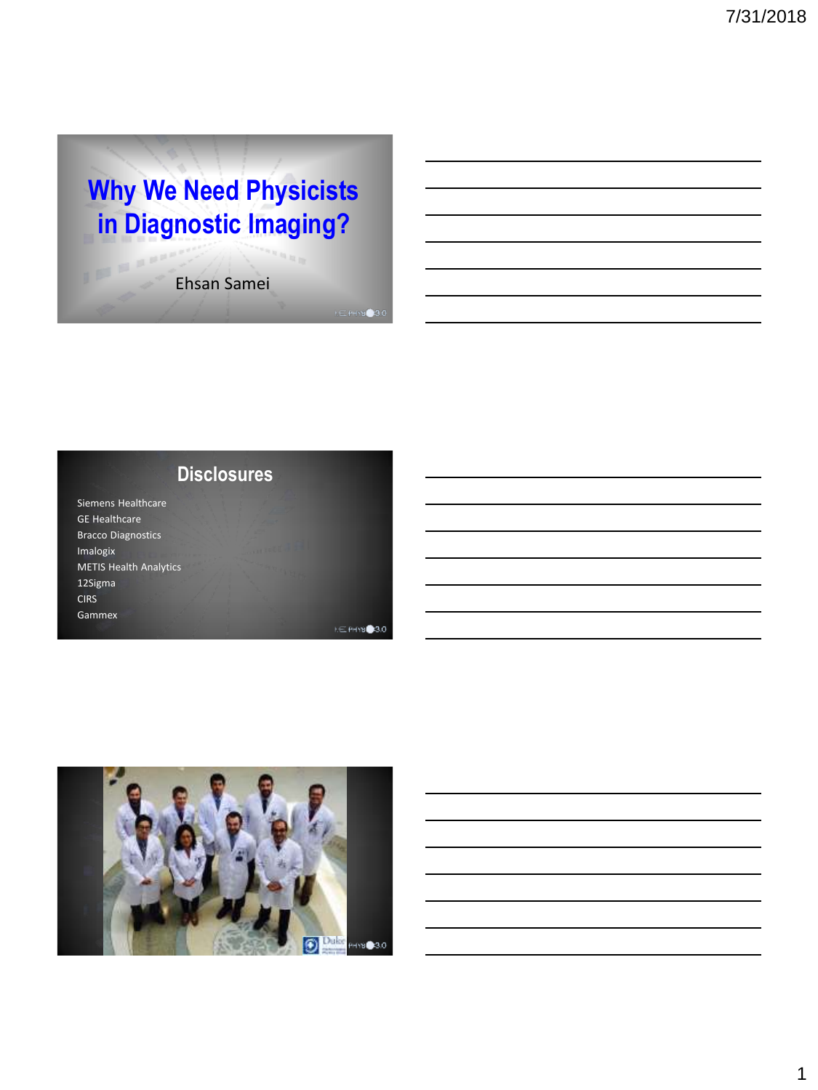# **Why We Need Physicists in Diagnostic Imaging?**

Ehsan Samei

**Disclosures**

Siemens Healthcare GE Healthcare Bracco Diagnostics Imalogix METIS Health Analytics 12Sigma **CIRS** Gammex

IP BAY

**ME PHYSICAO** 

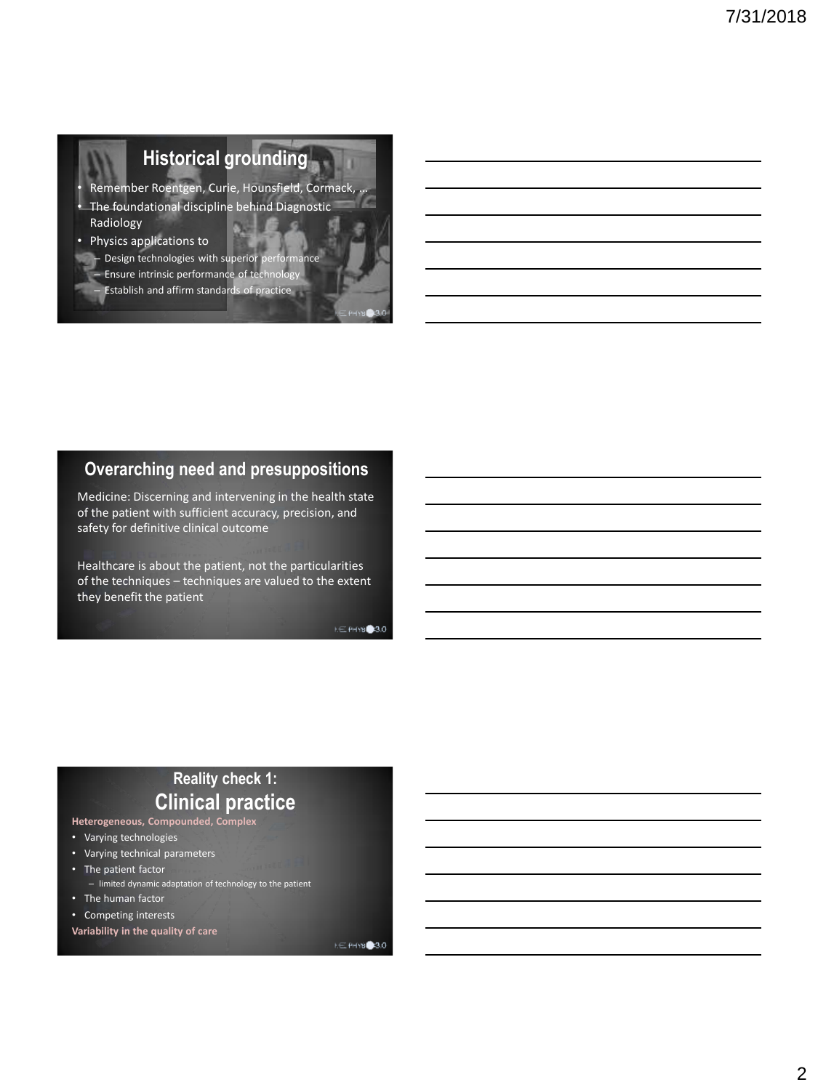## **Historical grounding**

- Remember Roentgen, Curie, Hounsfield, Cormack, … • The foundational discipline behind Diagnostic
- Radiology
- Physics applications to
	- Design technologies with superior performance
		- Ensure intrinsic performance of technology – Establish and affirm standards of practice

### **Overarching need and presuppositions**

Medicine: Discerning and intervening in the health state of the patient with sufficient accuracy, precision, and safety for definitive clinical outcome

Healthcare is about the patient, not the particularities of the techniques – techniques are valued to the extent they benefit the patient

**NE PHYSIC 3.0** 

### **Reality check 1: Clinical practice**

- **Heterogeneous, Compounded, Complex**
- Varying technologies
- Varying technical parameters
- The patient factor – limited dynamic adaptation of technology to the patient
- The human factor
- Competing interests

**Variability in the quality of care**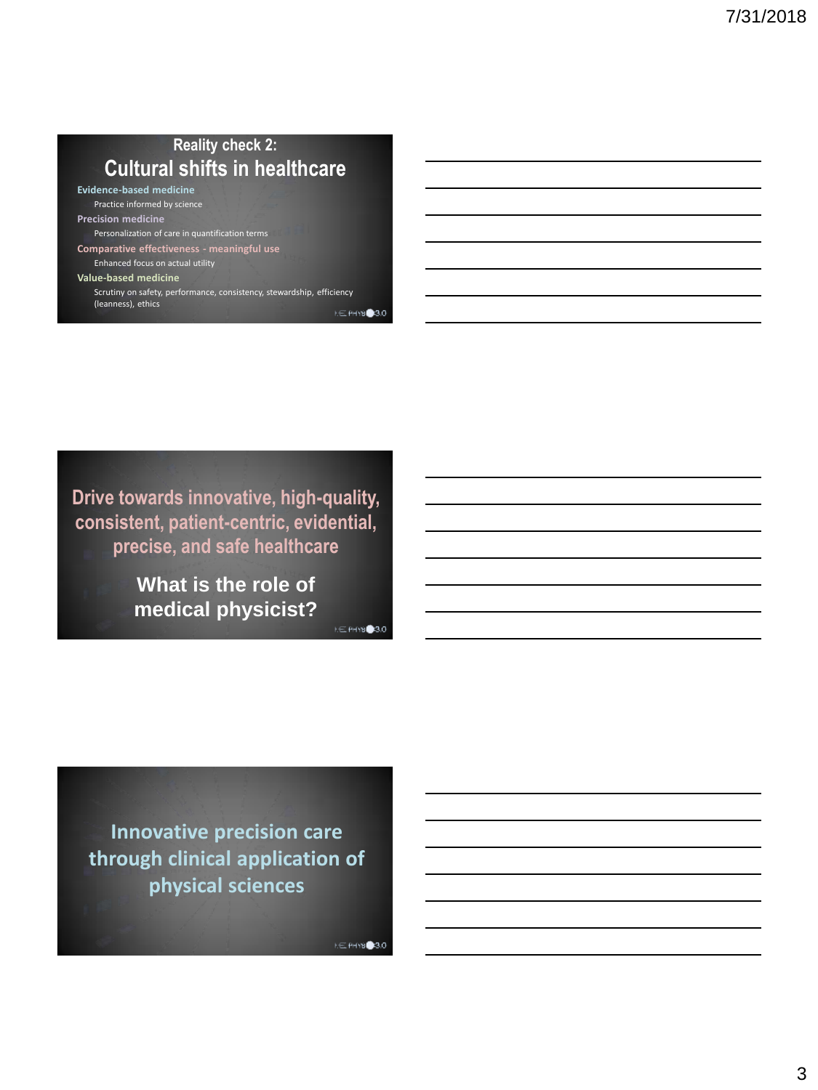### **Reality check 2: Cultural shifts in healthcare**

**Evidence-based medicine** Practice informed by science

**Precision medicine** Personalization of care in quantification terms

**Comparative effectiveness - meaningful use** Enhanced focus on actual utility

**Value-based medicine**

Scrutiny on safety, performance, consistency, stewardship, efficiency (leanness), ethics **NE PHYSIC 3.0** 

**Drive towards innovative, high-quality, consistent, patient-centric, evidential, precise, and safe healthcare**

> **What is the role of medical physicist?**

**NE PHYSIC 3.0** 

**Innovative precision care through clinical application of physical sciences**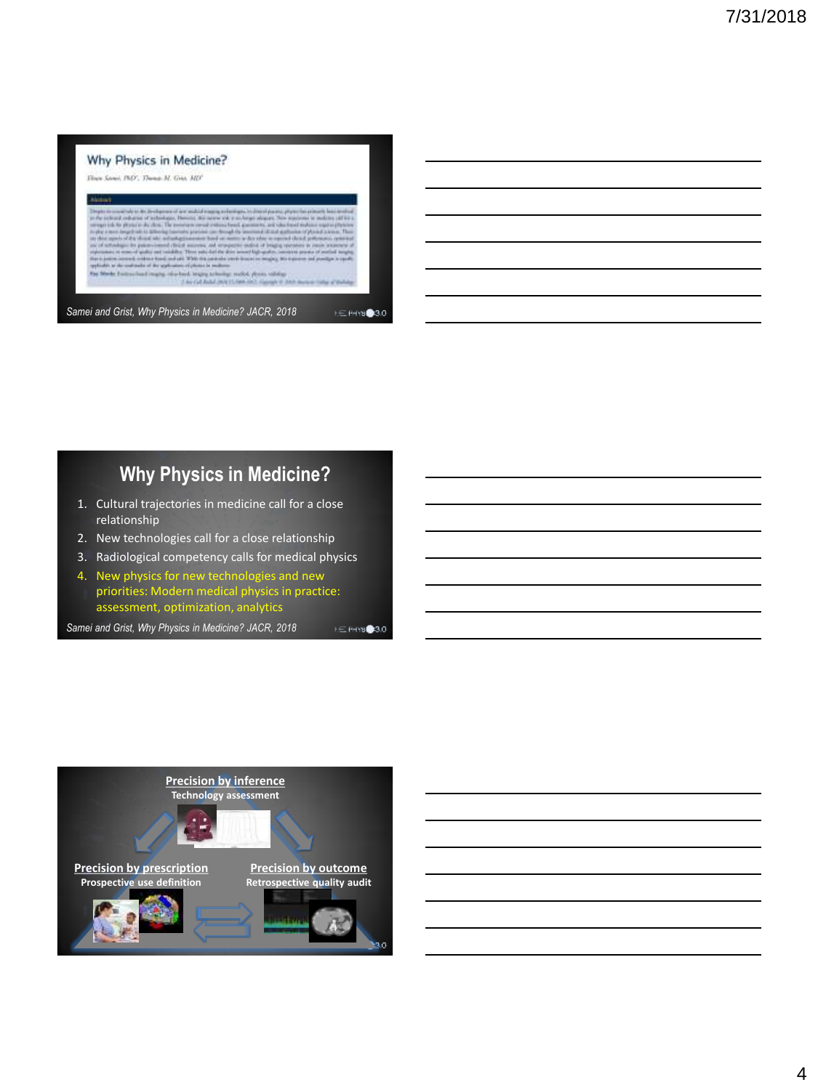

### **Why Physics in Medicine?**

- 1. Cultural trajectories in medicine call for a close relationship
- 2. New technologies call for a close relationship
- 3. Radiological competency calls for medical physics
- 4. New physics for new technologies and new priorities: Modern medical physics in practice: assessment, optimization, analytics

**NE PHYSIC 3.0** 

*Samei and Grist, Why Physics in Medicine? JACR, 2018*

```
Precision by inference 
                   Technology assessment
                                   Precision by outcome
Precision by prescription
 Prospective use definition
                                  Retrospective quality audit30
```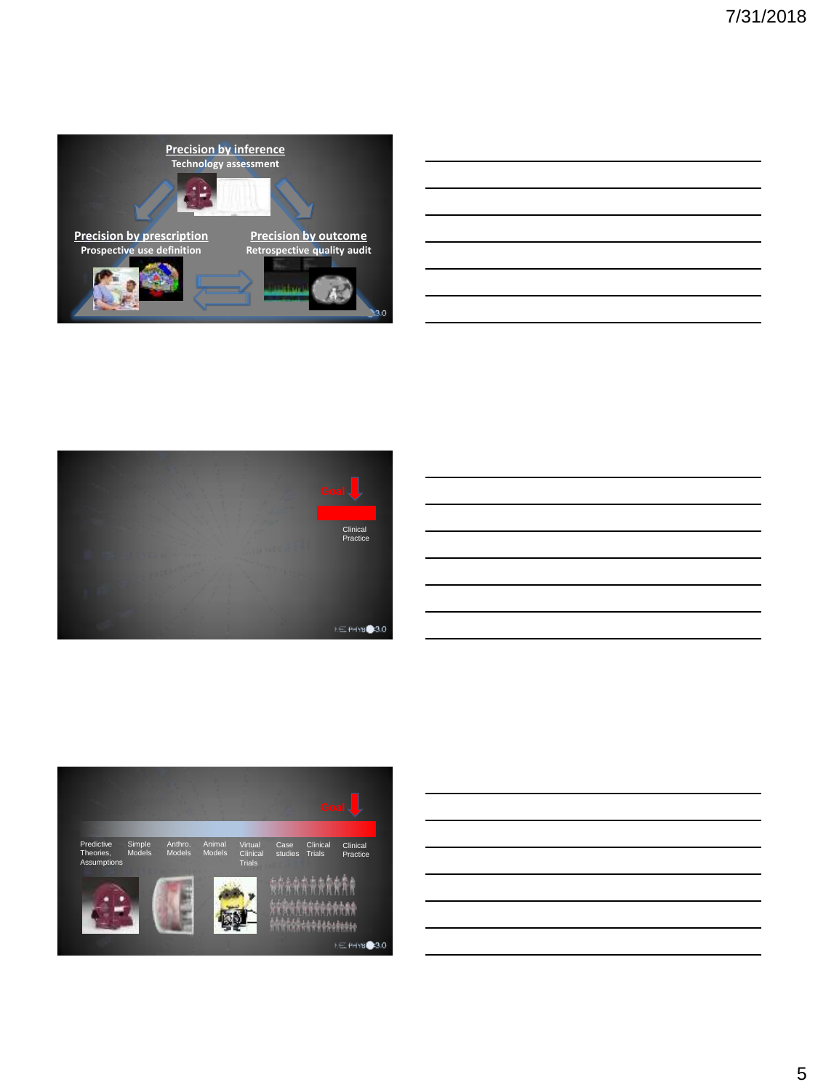









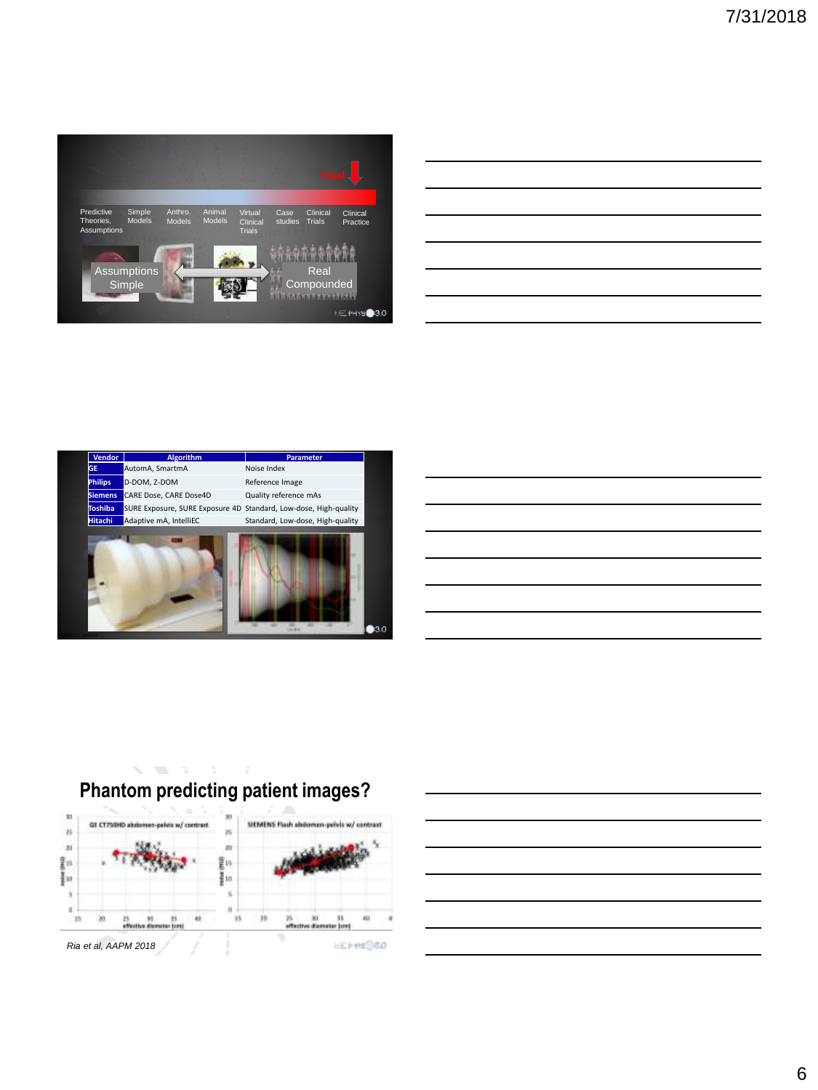

|  |  | <u> 1989 - Johann Stoff, deutscher Stoff, der Stoff, der Stoff, der Stoff, der Stoff, der Stoff, der Stoff, der S</u> |  |
|--|--|-----------------------------------------------------------------------------------------------------------------------|--|
|  |  | <u> 1989 - Johann Stoff, deutscher Stoff, der Stoff, der Stoff, der Stoff, der Stoff, der Stoff, der Stoff, der S</u> |  |
|  |  | <u> 1989 - Johann Stoff, deutscher Stoff, der Stoff, der Stoff, der Stoff, der Stoff, der Stoff, der Stoff, der S</u> |  |
|  |  | <u> 1989 - Johann Stoff, deutscher Stoff, der Stoff, der Stoff, der Stoff, der Stoff, der Stoff, der Stoff, der S</u> |  |
|  |  | <u> 1989 - Johann Stoff, amerikansk politiker (d. 1989)</u>                                                           |  |
|  |  |                                                                                                                       |  |
|  |  |                                                                                                                       |  |
|  |  |                                                                                                                       |  |





### **Phantom predicting patient images?**

 $\label{eq:3.1} \nabla_{\mathbf{z}}\left(\mathbf{W}_{\mathbf{z}}\right) = \nabla_{\mathbf{z}}\left(\mathbf{z}\right) = \nabla_{\mathbf{z}}\left(\mathbf{z}\right) = \nabla_{\mathbf{z}}\left(\mathbf{z}\right)$ 

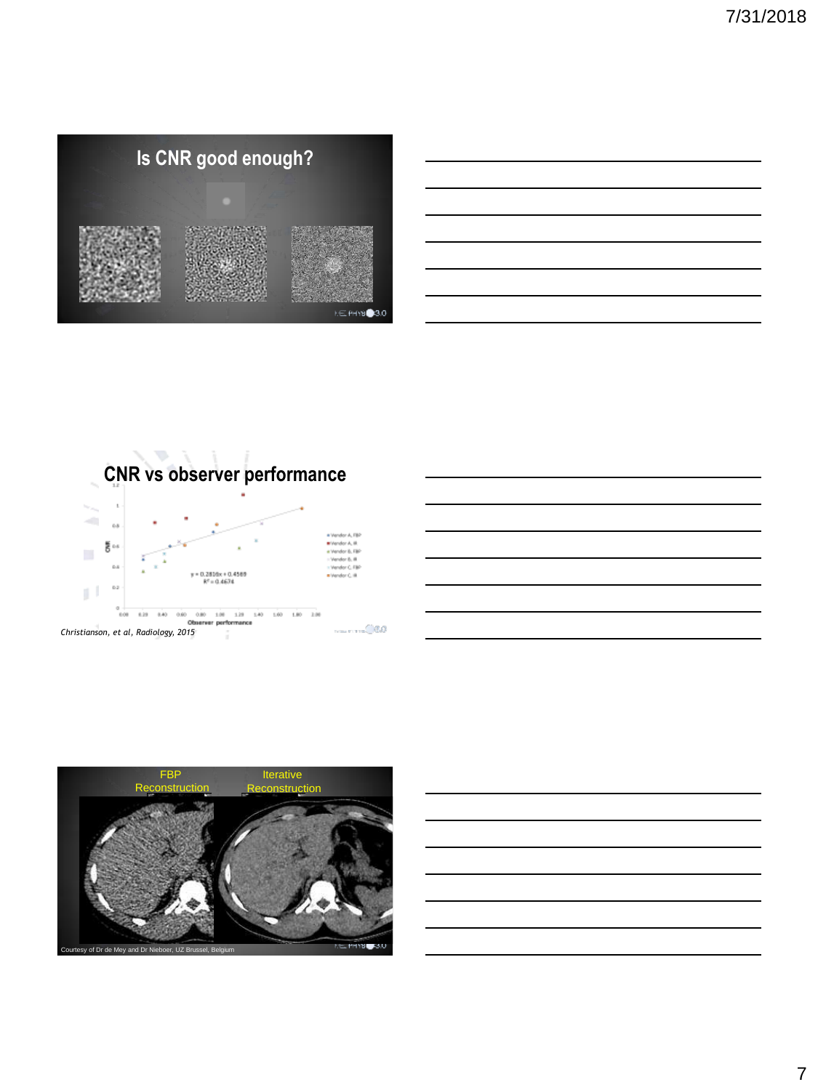





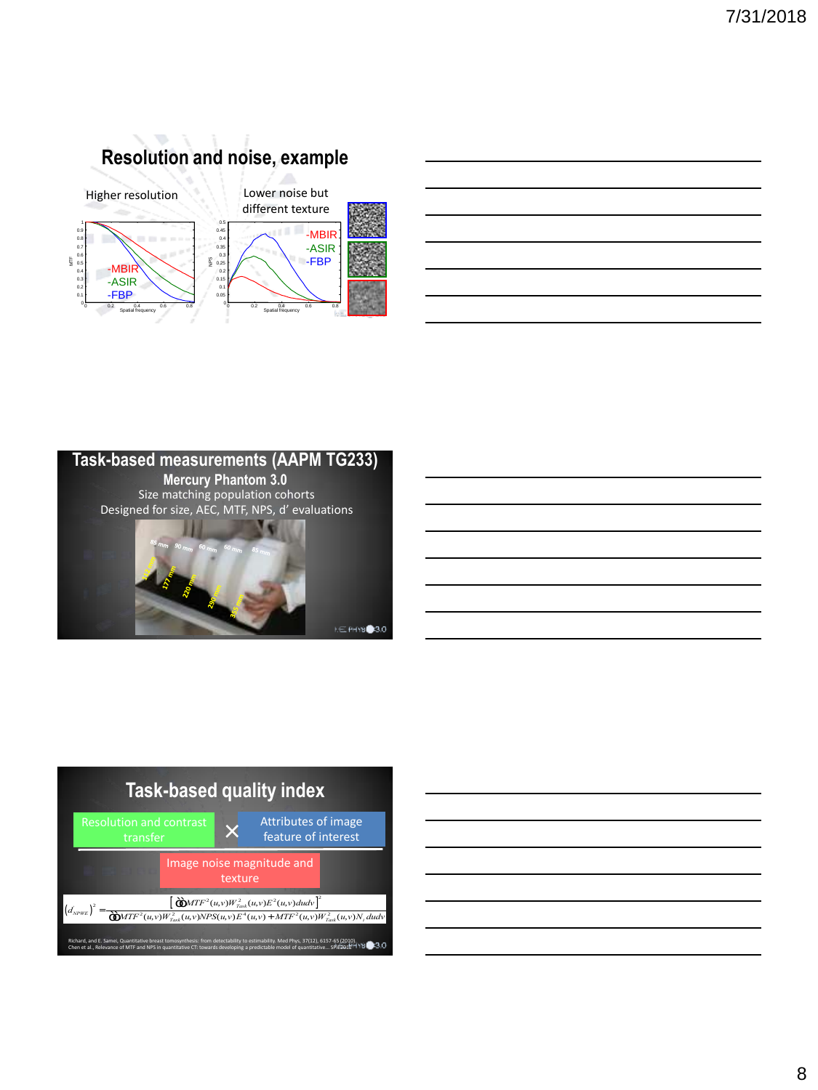

| the control of the control of the control of the control of the control of |  |  |
|----------------------------------------------------------------------------|--|--|
|                                                                            |  |  |
|                                                                            |  |  |
|                                                                            |  |  |
|                                                                            |  |  |
| ______                                                                     |  |  |





| <u> 1989 - Johann Barn, mars ann an t-Amhainn an t-Amhainn an t-Amhainn an t-Amhainn an t-Amhainn an t-Amhainn an </u> |  |  |
|------------------------------------------------------------------------------------------------------------------------|--|--|
| <u> 1989 - Johann Barn, mars ann an t-Amhain ann an t-Amhain ann an t-Amhain ann an t-Amhain an t-Amhain ann an t-</u> |  |  |
|                                                                                                                        |  |  |
| <u> 1989 - Johann Barn, mars ann an t-Amhainn an t-Amhainn an t-Amhainn an t-Amhainn an t-Amhainn an t-Amhainn an </u> |  |  |
| <u> 1989 - Johann Barn, mars ann an t-Amhain ann an t-Amhain ann an t-Amhain ann an t-Amhain ann an t-Amhain ann a</u> |  |  |
| <u> 1989 - Johann Barn, amerikansk politiker (d. 1989)</u>                                                             |  |  |
| <u> 1989 - Johann Stoff, amerikansk politiker (d. 1989)</u>                                                            |  |  |
|                                                                                                                        |  |  |

ł,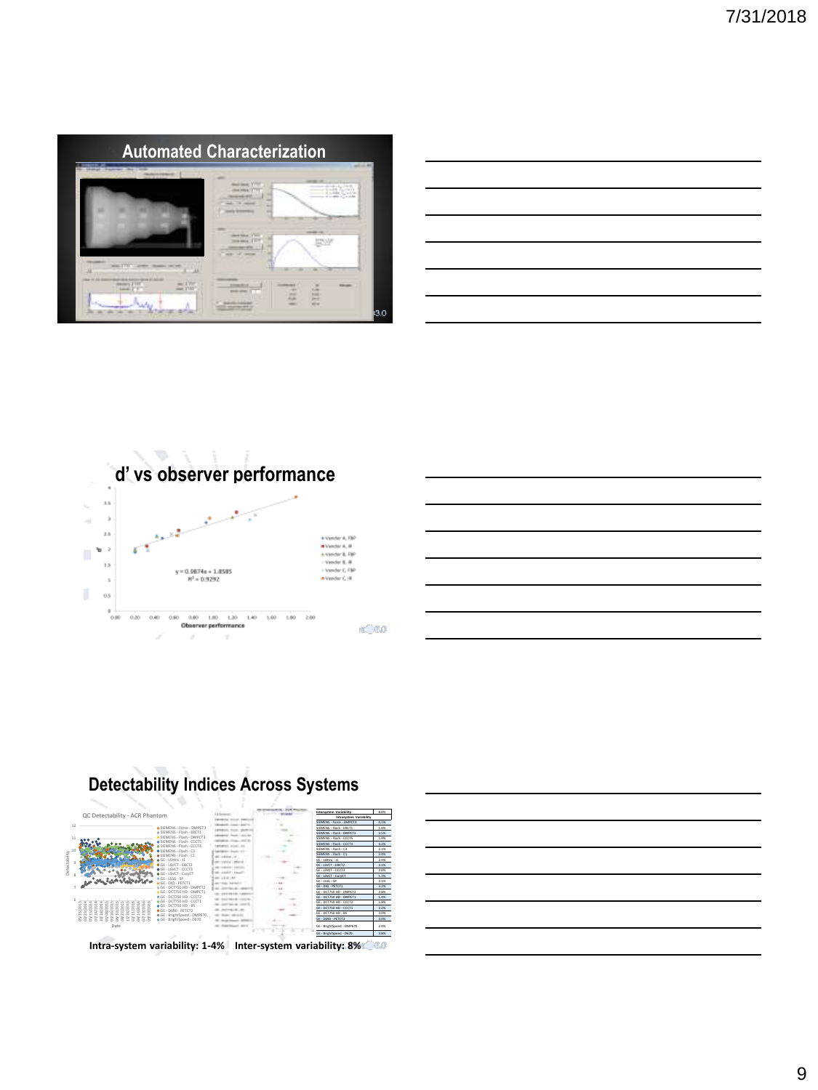





### **Detectability Indices Across Systems**



**Intra-system variability: 1-4% Inter-system variability: 8%**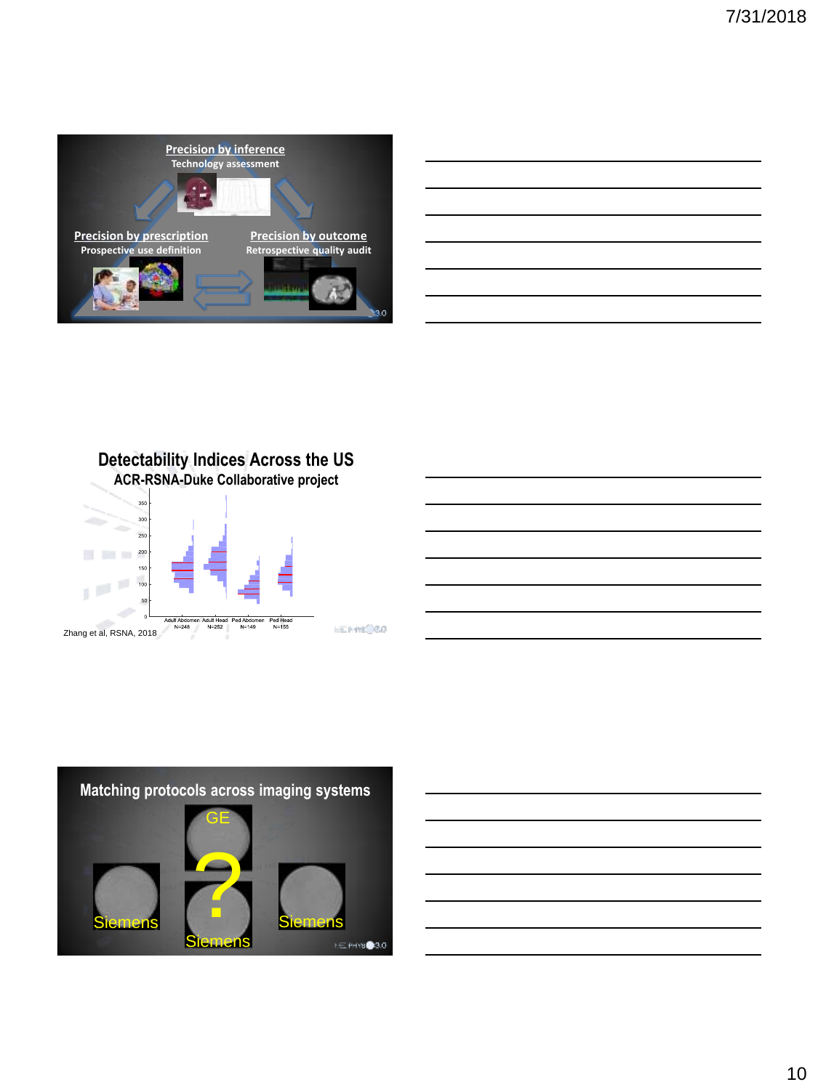

| <u> 1989 - Johann Stoff, amerikansk politiker (d. 1989)</u>                                                           |  |  |  |
|-----------------------------------------------------------------------------------------------------------------------|--|--|--|
| <u> 1989 - Johann Harry Harry Harry Harry Harry Harry Harry Harry Harry Harry Harry Harry Harry Harry Harry Harry</u> |  |  |  |
| and the contract of the contract of the contract of the contract of the contract of                                   |  |  |  |
| <u> 1989 - Johann John Stone, markin sanadi amerikan bahasa dalam pengaran sebagai pengaran sebagai pengaran seba</u> |  |  |  |
|                                                                                                                       |  |  |  |
|                                                                                                                       |  |  |  |
|                                                                                                                       |  |  |  |

**Detectability Indices Across the US ACR-RSNA-Duke Collaborative project**



### **Matching protocols across imaging systems**  GE ? Siemens Siemensans **NE PHYSIC 3.0**

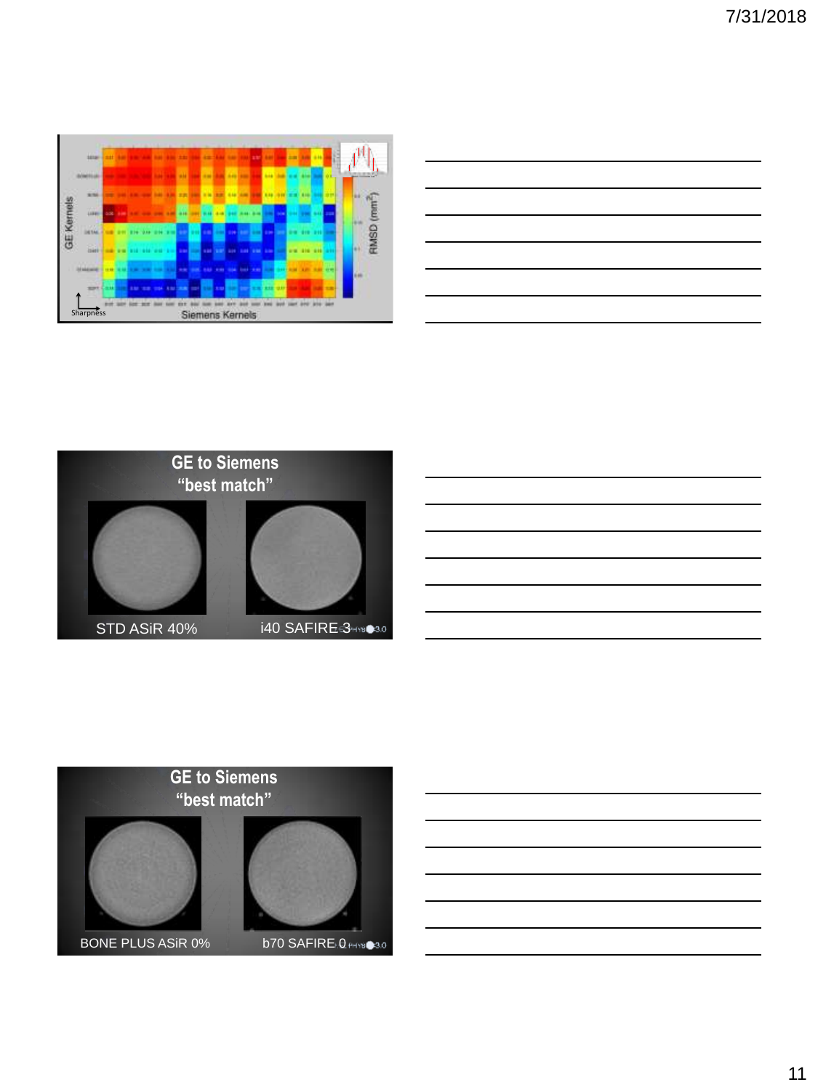





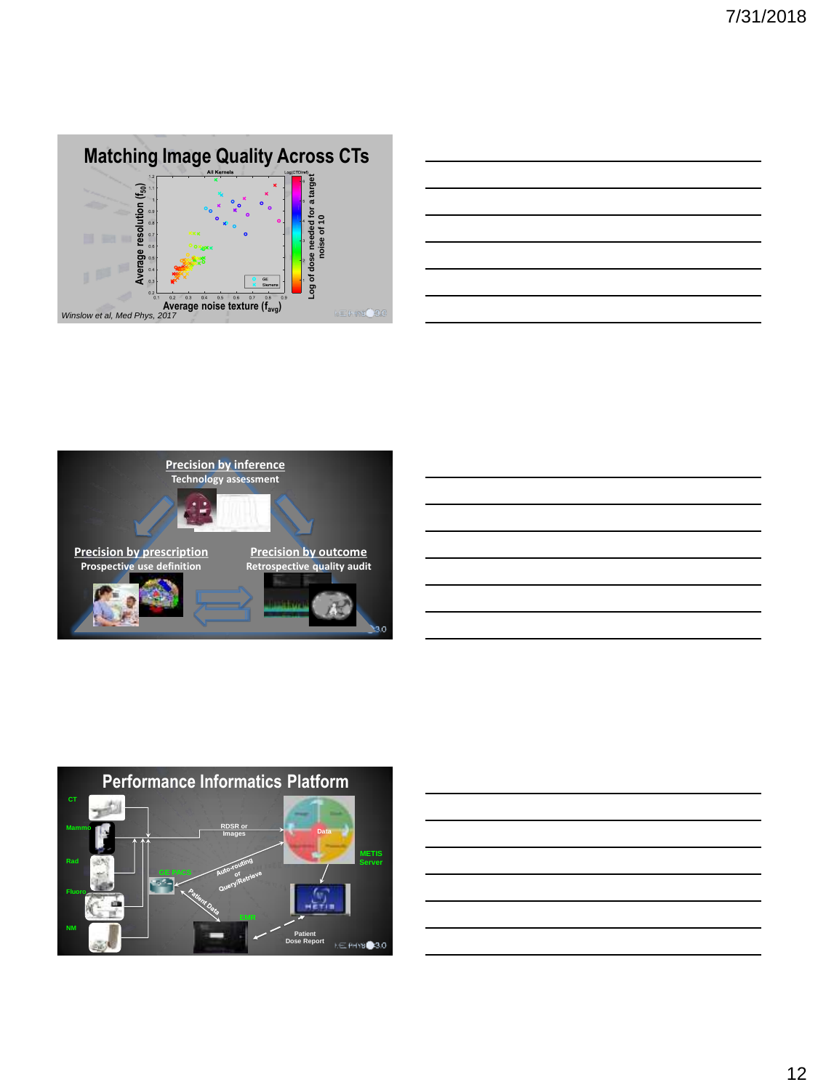









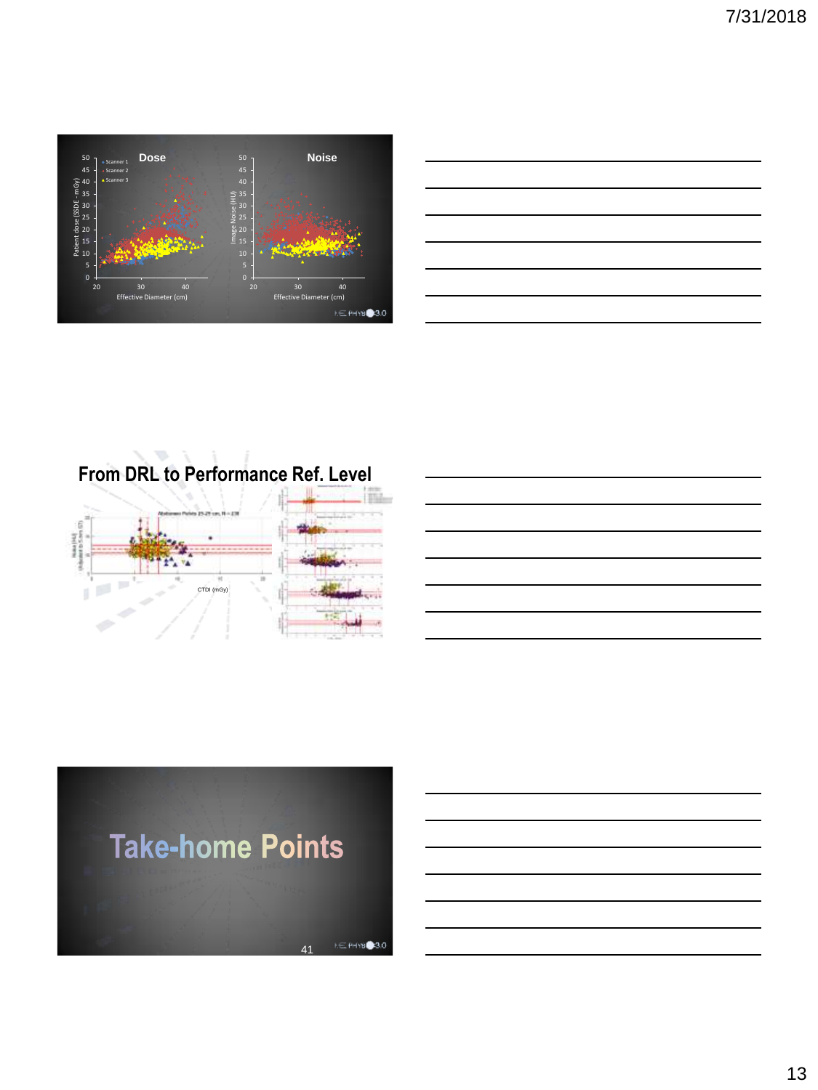

**From DRL to Performance Ref. Level**